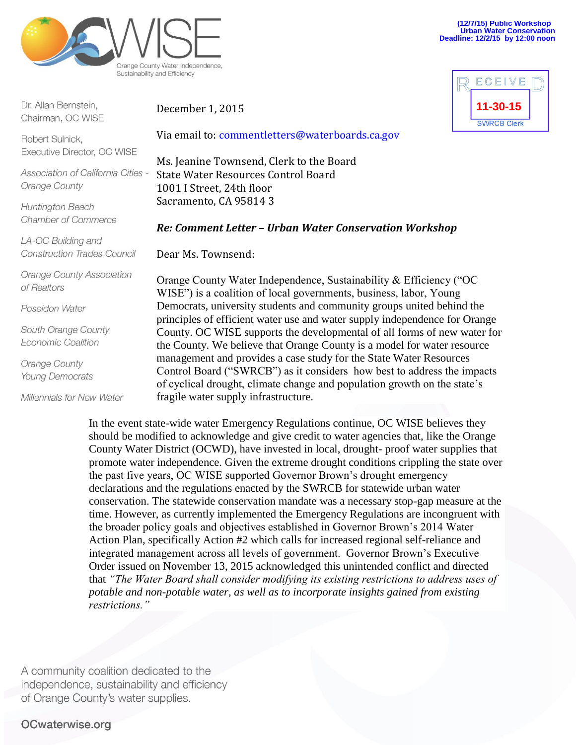

Dr. Allan Bernstein. Chairman, OC WISE

Robert Sulnick, Executive Director, OC WISE

Association of California Cities -Orange County

**Huntington Beach** Chamber of Commerce

LA-OC Building and **Construction Trades Council** 

**Orange County Association** of Realtors

Poseidon Water

South Orange County Economic Coalition

Orange County **Young Democrats** 

Millennials for New Water

#### December 1, 2015

Via email to: commentletters@waterboards.ca.gov

Ms. Jeanine Townsend, Clerk to the Board State Water Resources Control Board 1001 I Street, 24th floor Sacramento, CA 95814 3

#### *Re: Comment Letter – Urban Water Conservation Workshop*

Dear Ms. Townsend:

Orange County Water Independence, Sustainability & Efficiency ("OC WISE") is a coalition of local governments, business, labor, Young Democrats, university students and community groups united behind the principles of efficient water use and water supply independence for Orange County. OC WISE supports the developmental of all forms of new water for the County. We believe that Orange County is a model for water resource management and provides a case study for the State Water Resources Control Board ("SWRCB") as it considers how best to address the impacts of cyclical drought, climate change and population growth on the state's fragile water supply infrastructure.

In the event state-wide water Emergency Regulations continue, OC WISE believes they should be modified to acknowledge and give credit to water agencies that, like the Orange County Water District (OCWD), have invested in local, drought- proof water supplies that promote water independence. Given the extreme drought conditions crippling the state over the past five years, OC WISE supported Governor Brown's drought emergency declarations and the regulations enacted by the SWRCB for statewide urban water conservation. The statewide conservation mandate was a necessary stop-gap measure at the time. However, as currently implemented the Emergency Regulations are incongruent with the broader policy goals and objectives established in Governor Brown's 2014 Water Action Plan, specifically Action #2 which calls for increased regional self-reliance and integrated management across all levels of government. Governor Brown's Executive Order issued on November 13, 2015 acknowledged this unintended conflict and directed that *"The Water Board shall consider modifying its existing restrictions to address uses of potable and non-potable water, as well as to incorporate insights gained from existing restrictions."*

A community coalition dedicated to the independence, sustainability and efficiency of Orange County's water supplies.

# OCwaterwise.org

**(12/7/15) Public Workshop Urban Water Conservation Deadline: 12/2/15 by 12:00 noon**

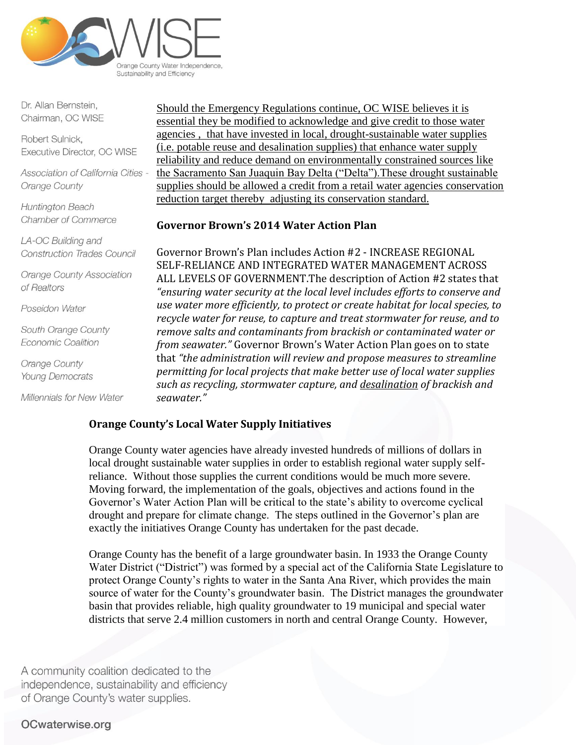

Dr. Allan Bernstein, Chairman, OC WISE

Robert Sulnick, Executive Director, OC WISE

Association of California Cities -Orange County

Huntington Beach Chamber of Commerce

LA-OC Building and **Construction Trades Council** 

**Orange County Association** of Realtors

Poseidon Water

South Orange County Economic Coalition

Orange County **Young Democrats** 

Millennials for New Water

Should the Emergency Regulations continue, OC WISE believes it is essential they be modified to acknowledge and give credit to those water agencies , that have invested in local, drought-sustainable water supplies (i.e. potable reuse and desalination supplies) that enhance water supply reliability and reduce demand on environmentally constrained sources like the Sacramento San Juaquin Bay Delta ("Delta").These drought sustainable supplies should be allowed a credit from a retail water agencies conservation reduction target thereby adjusting its conservation standard.

#### **Governor Brown's 2014 Water Action Plan**

Governor Brown's Plan includes Action #2 - INCREASE REGIONAL SELF-RELIANCE AND INTEGRATED WATER MANAGEMENT ACROSS ALL LEVELS OF GOVERNMENT.The description of Action #2 states that *"ensuring water security at the local level includes efforts to conserve and use water more efficiently, to protect or create habitat for local species, to recycle water for reuse, to capture and treat stormwater for reuse, and to remove salts and contaminants from brackish or contaminated water or from seawater."* Governor Brown's Water Action Plan goes on to state that *"the administration will review and propose measures to streamline permitting for local projects that make better use of local water supplies such as recycling, stormwater capture, and desalination of brackish and seawater."*

## **Orange County's Local Water Supply Initiatives**

Orange County water agencies have already invested hundreds of millions of dollars in local drought sustainable water supplies in order to establish regional water supply selfreliance. Without those supplies the current conditions would be much more severe. Moving forward, the implementation of the goals, objectives and actions found in the Governor's Water Action Plan will be critical to the state's ability to overcome cyclical drought and prepare for climate change. The steps outlined in the Governor's plan are exactly the initiatives Orange County has undertaken for the past decade.

Orange County has the benefit of a large groundwater basin. In 1933 the Orange County Water District ("District") was formed by a special act of the California State Legislature to protect Orange County's rights to water in the Santa Ana River, which provides the main source of water for the County's groundwater basin. The District manages the groundwater basin that provides reliable, high quality groundwater to 19 municipal and special water districts that serve 2.4 million customers in north and central Orange County. However,

A community coalition dedicated to the independence, sustainability and efficiency of Orange County's water supplies.

## OCwaterwise.org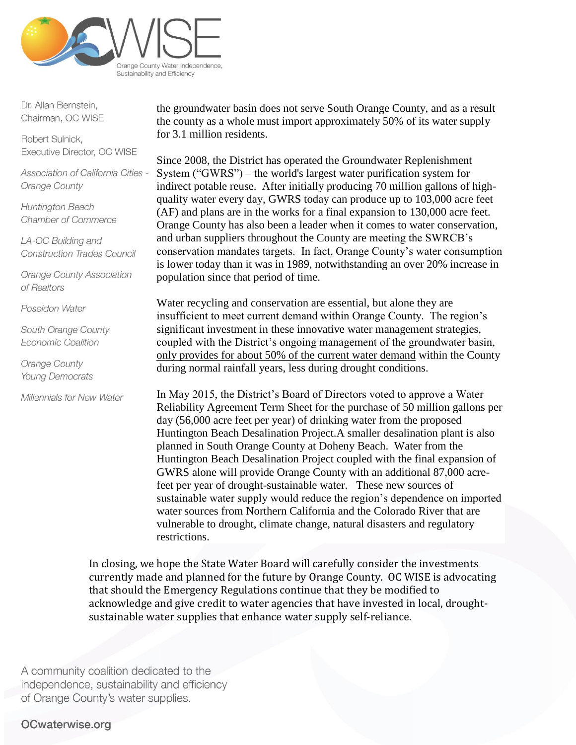

Dr. Allan Bernstein, Chairman, OC WISE

Robert Sulnick. Executive Director, OC WISE

Association of California Cities -Orange County

Huntington Beach Chamber of Commerce

LA-OC Building and **Construction Trades Council** 

**Orange County Association** of Realtors

Poseidon Water

South Orange County Economic Coalition

Orange County **Young Democrats** 

Millennials for New Water

the groundwater basin does not serve South Orange County, and as a result the county as a whole must import approximately 50% of its water supply for 3.1 million residents.

Since 2008, the District has operated the Groundwater Replenishment System ("GWRS") – the world's largest water purification system for indirect potable reuse. After initially producing 70 million gallons of highquality water every day, GWRS today can produce up to 103,000 acre feet (AF) and plans are in the works for a final expansion to 130,000 acre feet. Orange County has also been a leader when it comes to water conservation, and urban suppliers throughout the County are meeting the SWRCB's conservation mandates targets. In fact, Orange County's water consumption is lower today than it was in 1989, notwithstanding an over 20% increase in population since that period of time.

Water recycling and conservation are essential, but alone they are insufficient to meet current demand within Orange County. The region's significant investment in these innovative water management strategies, coupled with the District's ongoing management of the groundwater basin, only provides for about 50% of the current water demand within the County during normal rainfall years, less during drought conditions.

In May 2015, the District's Board of Directors voted to approve a Water Reliability Agreement Term Sheet for the purchase of 50 million gallons per day (56,000 acre feet per year) of drinking water from the proposed Huntington Beach Desalination Project.A smaller desalination plant is also planned in South Orange County at Doheny Beach. Water from the Huntington Beach Desalination Project coupled with the final expansion of GWRS alone will provide Orange County with an additional 87,000 acrefeet per year of drought-sustainable water. These new sources of sustainable water supply would reduce the region's dependence on imported water sources from Northern California and the Colorado River that are vulnerable to drought, climate change, natural disasters and regulatory restrictions.

In closing, we hope the State Water Board will carefully consider the investments currently made and planned for the future by Orange County. OC WISE is advocating that should the Emergency Regulations continue that they be modified to acknowledge and give credit to water agencies that have invested in local, droughtsustainable water supplies that enhance water supply self-reliance.

A community coalition dedicated to the independence, sustainability and efficiency of Orange County's water supplies.

# OCwaterwise.org